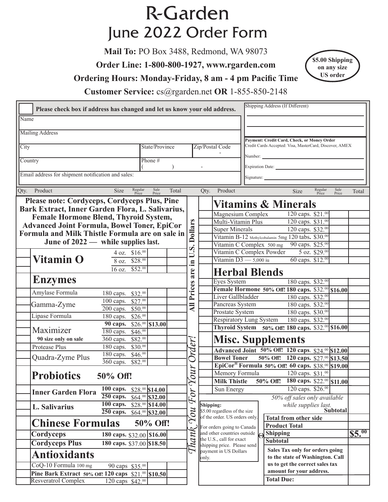## **R-Garden** June 2022 Order Form

**Mail To:** PO Box 3488, Redmond, WA 98073

**Order Line: 1-800-800-1927, www.rgarden.com**

**Ordering Hours: Monday-Friday, 8 am - 4 pm Pacific Time**



**Customer Service:** cs@rgarden.net **OR** 1-855-850-2148

|                                                     | Please check box if address has changed and let us know your old address. |                     |       |                       |                                                                                    |                                                               | Shipping Address (If Different)                         |                      |                                             |                  |                 |        |
|-----------------------------------------------------|---------------------------------------------------------------------------|---------------------|-------|-----------------------|------------------------------------------------------------------------------------|---------------------------------------------------------------|---------------------------------------------------------|----------------------|---------------------------------------------|------------------|-----------------|--------|
| Name                                                |                                                                           |                     |       |                       |                                                                                    |                                                               |                                                         |                      |                                             |                  |                 |        |
| <b>Mailing Address</b>                              |                                                                           |                     |       |                       |                                                                                    |                                                               |                                                         |                      |                                             |                  |                 |        |
|                                                     |                                                                           |                     |       |                       |                                                                                    |                                                               |                                                         |                      | Payment: Credit Card, Check, or Money Order |                  |                 |        |
| State/Province<br>City                              |                                                                           |                     |       |                       |                                                                                    | Zip/Postal Code                                               | Credit Cards Accepted: Visa, MasterCard, Discover, AMEX |                      |                                             |                  |                 |        |
| Country                                             |                                                                           | Phone #             |       |                       |                                                                                    |                                                               |                                                         |                      |                                             |                  |                 |        |
|                                                     |                                                                           |                     |       |                       |                                                                                    |                                                               |                                                         | Expiration Date:     |                                             |                  |                 |        |
| Email address for shipment notification and sales:  |                                                                           |                     |       |                       |                                                                                    |                                                               |                                                         |                      |                                             |                  |                 |        |
|                                                     |                                                                           |                     |       |                       |                                                                                    |                                                               |                                                         |                      |                                             |                  |                 |        |
| Qty. Product                                        | Regular<br>Size<br>Price                                                  | Sale<br>Price       | Total |                       | Qty.                                                                               | Product                                                       |                                                         |                      | Size                                        | Regular<br>Price | Sale<br>Price   | Total  |
| Please note: Cordyceps, Cordyceps Plus, Pine        |                                                                           |                     |       |                       |                                                                                    | <b>Vitamins &amp; Minerals</b>                                |                                                         |                      |                                             |                  |                 |        |
| Bark Extract, Inner Garden Flora, L. Salivarius,    |                                                                           |                     |       |                       |                                                                                    | Magnesium Complex                                             |                                                         |                      | $120$ caps. \$21.00                         |                  |                 |        |
| <b>Female Hormone Blend, Thyroid System,</b>        |                                                                           |                     |       |                       |                                                                                    | Multi-Vitamin Plus                                            |                                                         |                      | 120 caps. \$31.00                           |                  |                 |        |
| <b>Advanced Joint Formula, Bowel Toner, EpiCor</b>  |                                                                           |                     |       | <b>Dollars</b>        |                                                                                    | <b>Super Minerals</b>                                         |                                                         |                      | 120 caps. \$32.00                           |                  |                 |        |
| Formula and Milk Thistle Formula are on sale in     |                                                                           |                     |       |                       |                                                                                    | Vitamin B-12 Methylcobalamin 5mg 120 tabs. \$30.00            |                                                         |                      |                                             |                  |                 |        |
| June of 2022 — while supplies last.                 |                                                                           |                     |       |                       |                                                                                    | Vitamin C Complex 500 mg 90 caps. \$25.00                     |                                                         |                      |                                             |                  |                 |        |
|                                                     | 4 oz. \$16.00                                                             |                     |       | $\boldsymbol{v}$<br>ゴ |                                                                                    | Vitamin C Complex Powder                                      |                                                         |                      |                                             | $5$ oz. \$29.00  |                 |        |
| <b>Vitamin O</b>                                    | 8 oz. \$28.00                                                             |                     |       | Ξ.                    |                                                                                    | Vitamin $D3 - 5,000$ iu                                       |                                                         |                      | 60 caps. \$12.00                            |                  |                 |        |
|                                                     | $\overline{16}$ oz.<br>$$52.^{00}$                                        |                     |       |                       |                                                                                    |                                                               |                                                         |                      |                                             |                  |                 |        |
|                                                     |                                                                           |                     |       | are                   |                                                                                    | <b>Herbal Blends</b>                                          |                                                         |                      |                                             |                  |                 |        |
| <b>Enzymes</b>                                      |                                                                           |                     |       |                       |                                                                                    | Eyes System                                                   |                                                         |                      | 180 caps. \$32.00                           |                  |                 |        |
| Amylase Formula                                     | 180 caps. \$32.00                                                         |                     |       | Prices                |                                                                                    | Female Hormone 50% Off! 180 caps. \$32.00 \$16.00             |                                                         |                      |                                             |                  |                 |        |
|                                                     | 100 caps. \$27.00                                                         |                     |       |                       |                                                                                    | Liver Gallbladder<br>Pancreas System                          |                                                         |                      | 180 caps. \$32.00                           |                  |                 |        |
| Gamma-Zyme                                          | 200 caps. \$50.00                                                         |                     |       | $\overline{AB}$       |                                                                                    | Prostate System                                               |                                                         |                      | 180 caps. \$32.00<br>180 caps. \$30.00      |                  |                 |        |
| Lipase Formula                                      | 180 caps. \$26.00                                                         |                     |       |                       |                                                                                    | <b>Respiratory Lung System</b>                                |                                                         |                      | 180 caps. \$32.00                           |                  |                 |        |
|                                                     | 90 caps. \$26.00 \$13.00                                                  |                     |       |                       |                                                                                    | Thyroid System 50% Off! 180 caps. \$32.00 \$16.00             |                                                         |                      |                                             |                  |                 |        |
| Maximizer                                           | 180 caps. \$46.00                                                         |                     |       |                       |                                                                                    |                                                               |                                                         |                      |                                             |                  |                 |        |
| 90 size only on sale                                | 360 caps. \$82.00                                                         |                     |       |                       |                                                                                    | <b>Misc. Supplements</b>                                      |                                                         |                      |                                             |                  |                 |        |
| Protease Plus                                       | 180 caps. \$30.00                                                         |                     |       | Order.                |                                                                                    | Advanced Joint 50% Off! 120 caps. \$24.00 \$12.00             |                                                         |                      |                                             |                  |                 |        |
| Quadra-Zyme Plus                                    | 180 caps. \$46.00                                                         |                     |       |                       |                                                                                    | <b>Bowel Toner</b>                                            |                                                         |                      | 50% Off: 120 caps. \$27.00 \$13.50          |                  |                 |        |
|                                                     | 360 caps. \$82.00                                                         |                     |       |                       |                                                                                    | EpiCor <sup>®</sup> Formula 50% Off! 60 caps. \$38.00 \$19.00 |                                                         |                      |                                             |                  |                 |        |
| <b>Probiotics</b><br>50% Off!                       |                                                                           | Your                |       | Memory Formula        |                                                                                    |                                                               | 120 caps. \$31.00                                       |                      |                                             |                  |                 |        |
|                                                     |                                                                           |                     |       |                       |                                                                                    | Milk Thistle 50% Off! 180 caps. \$22.00 \$11.00               |                                                         |                      |                                             |                  |                 |        |
| <b>Inner Garden Flora</b>                           | $100$ caps.                                                               | $$28.^{00}$ \$14.00 |       |                       |                                                                                    | Sun Energy                                                    |                                                         |                      | 120 caps. \$26.00                           |                  |                 |        |
|                                                     | 250 caps.                                                                 | $$64.^{00}$ \$32.00 |       | For                   |                                                                                    |                                                               |                                                         |                      | 50% off sales only available                |                  |                 |        |
| L. Salivarius                                       | 100 caps.                                                                 | $$28.^{00}$ \$14.00 |       |                       | Shipping:                                                                          |                                                               |                                                         |                      | while supplies last.                        |                  | <b>Subtotal</b> |        |
|                                                     | $250$ caps.                                                               | $$64.00$ \$32.00    |       |                       | $\chi_{\it{OU}}$<br>\$5.00 regardless of the size<br>of the order. US orders only. |                                                               |                                                         |                      | <b>Total from other side</b>                |                  |                 |        |
| <b>Chinese Formulas</b>                             |                                                                           | 50% Off!            |       |                       |                                                                                    | For orders going to Canada                                    |                                                         | <b>Product Total</b> |                                             |                  |                 |        |
| Cordyceps                                           | 180 caps. \$32.00 \$16.00                                                 |                     |       |                       |                                                                                    | and other countries outside                                   |                                                         | <b>Shipping</b>      |                                             |                  |                 | \$5.00 |
| <b>Cordyceps Plus</b>                               | 180 caps. \$37.00 \$18.50                                                 |                     |       |                       |                                                                                    | the U.S., call for exact                                      |                                                         | <b>Subtotal</b>      |                                             |                  |                 |        |
|                                                     |                                                                           |                     |       | $T$ hanl              |                                                                                    | shipping price. Please send<br>payment in US Dollars          |                                                         |                      | Sales Tax only for orders going             |                  |                 |        |
| <b>Antioxidants</b>                                 |                                                                           |                     |       |                       | only.                                                                              |                                                               |                                                         |                      | to the state of Washington. Call            |                  |                 |        |
| CoQ-10 Formula 100 mg                               | 90 caps \$35.00                                                           |                     |       |                       |                                                                                    |                                                               |                                                         |                      | us to get the correct sales tax             |                  |                 |        |
| Pine Bark Extract 50% Off: 120 caps \$21.00 \$10.50 |                                                                           |                     |       |                       |                                                                                    |                                                               |                                                         |                      | amount for your address.                    |                  |                 |        |
| Resveratrol Complex                                 | 120 caps \$42.00                                                          |                     |       |                       |                                                                                    |                                                               |                                                         | <b>Total Due:</b>    |                                             |                  |                 |        |
|                                                     |                                                                           |                     |       |                       |                                                                                    |                                                               |                                                         |                      |                                             |                  |                 |        |